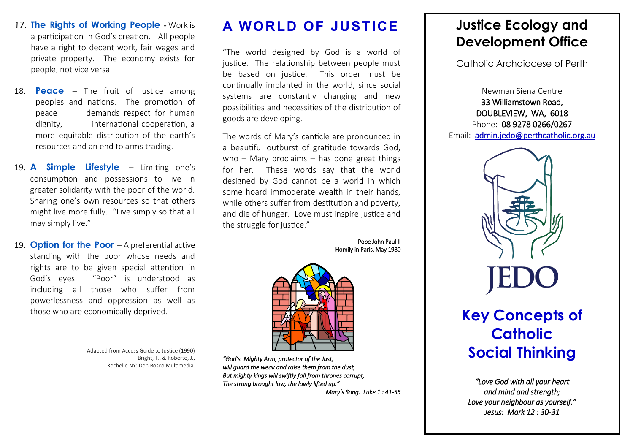- 17. **The Rights of Working People**  Work is a participation in God's creation. All people have a right to decent work, fair wages and private property. The economy exists for people, not vice versa.
- 18. **Peace** The fruit of justice among peoples and nations. The promotion of peace demands respect for human dignity, international cooperation, a more equitable distribution of the earth's resources and an end to arms trading.
- 19. **A Simple Lifestyle**  Limiting one's consumption and possessions to live in greater solidarity with the poor of the world. Sharing one's own resources so that others might live more fully. "Live simply so that all may simply live."
- 19. **Option for the Poor**  A preferential active standing with the poor whose needs and rights are to be given special attention in God's eyes. "Poor" is understood as including all those who suffer from powerlessness and oppression as well as those who are economically deprived.

Adapted from Access Guide to Justice (1990) Bright, T., & Roberto, J., Rochelle NY: Don Bosco Multimedia.

## **A WORLD OF JUSTICE**

"The world designed by God is a world of justice. The relationship between people must be based on justice. This order must be continually implanted in the world, since social systems are constantly changing and new possibilities and necessities of the distribution of goods are developing.

The words of Mary's canticle are pronounced in a beautiful outburst of gratitude towards God, who – Mary proclaims – has done great things for her. These words say that the world designed by God cannot be a world in which some hoard immoderate wealth in their hands, while others suffer from destitution and poverty, and die of hunger. Love must inspire justice and the struggle for justice."

> Pope John Paul II Homily in Paris, May 1980



*"God's Mighty Arm, protector of the Just, will guard the weak and raise them from the dust, But mighty kings will swiftly fall from thrones corrupt, The strong brought low, the lowly lifted up."* 

*Mary's Song. Luke 1 : 41-55* 

## **Justice Ecology and Development Office**

Catholic Archdiocese of Perth

Newman Siena Centre 33 Williamstown Road, DOUBLEVIEW, WA, 6018 Phone: 08 9278 0266/0267 Email: admin.jedo@perthcatholic.org.au



## **Key Concepts of Catholic Social Thinking**

*"Love God with all your heart and mind and strength; Love your neighbour as yourself." Jesus: Mark 12 : 30-31*